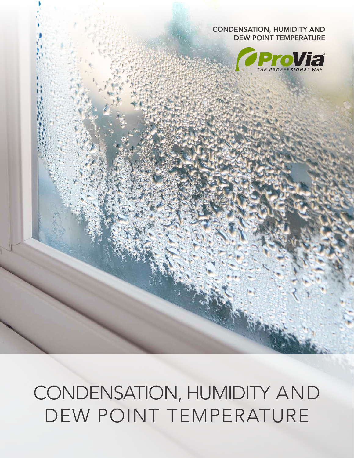CONDENSATION, HUMIDITY AND DEW POINT TEMPERATURE



### CONDENSATION, HUMIDITY AND DEW POINT TEMPERATURE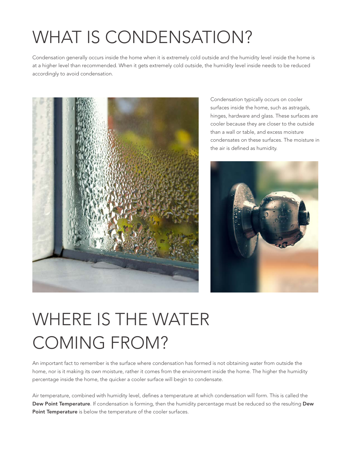## WHAT IS CONDENSATION?

Condensation generally occurs inside the home when it is extremely cold outside and the humidity level inside the home is at a higher level than recommended. When it gets extremely cold outside, the humidity level inside needs to be reduced accordingly to avoid condensation.



Condensation typically occurs on cooler surfaces inside the home, such as astragals, hinges, hardware and glass. These surfaces are cooler because they are closer to the outside than a wall or table, and excess moisture condensates on these surfaces. The moisture in the air is defined as humidity.



# WHERE IS THE WATER COMING FROM?

An important fact to remember is the surface where condensation has formed is not obtaining water from outside the home, nor is it making its own moisture, rather it comes from the environment inside the home. The higher the humidity percentage inside the home, the quicker a cooler surface will begin to condensate.

Air temperature, combined with humidity level, defines a temperature at which condensation will form. This is called the Dew Point Temperature. If condensation is forming, then the humidity percentage must be reduced so the resulting Dew Point Temperature is below the temperature of the cooler surfaces.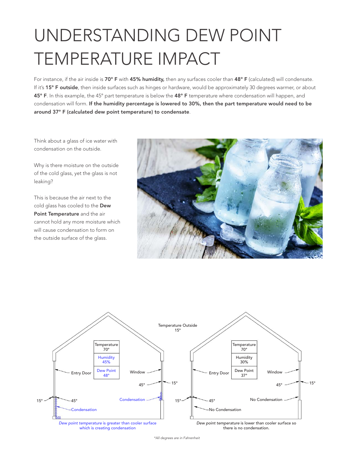# UNDERSTANDING DEW POINT TEMPERATURE IMPACT

For instance, if the air inside is 70° F with 45% humidity, then any surfaces cooler than 48° F (calculated) will condensate. If it's 15° F outside, then inside surfaces such as hinges or hardware, would be approximately 30 degrees warmer, or about 45° F. In this example, the 45° part temperature is below the 48° F temperature where condensation will happen, and condensation will form. If the humidity percentage is lowered to 30%, then the part temperature would need to be around 37° F (calculated dew point temperature) to condensate.

Think about a glass of ice water with condensation on the outside.

Why is there moisture on the outside of the cold glass, yet the glass is not leaking?

This is because the air next to the cold glass has cooled to the Dew Point Temperature and the air cannot hold any more moisture which will cause condensation to form on the outside surface of the glass.





*\*All degrees are in Fahrenheit*